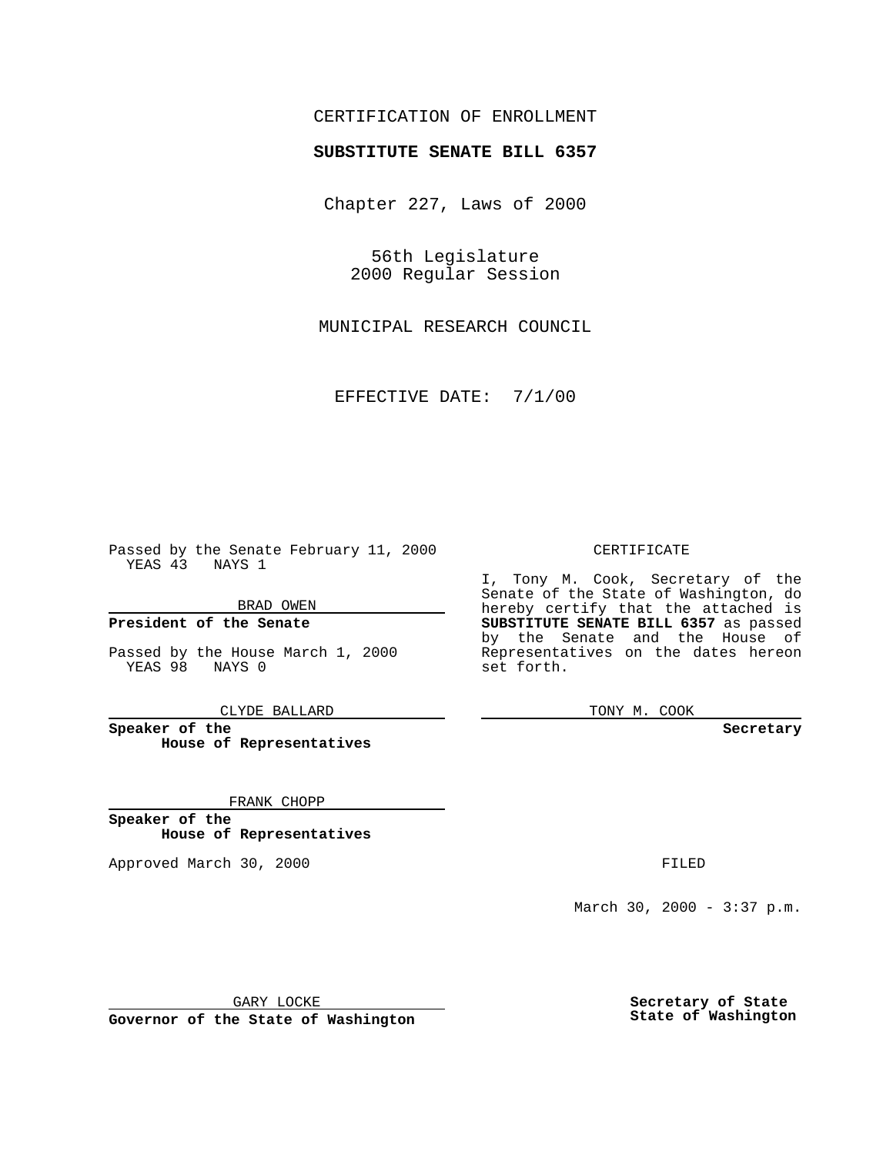### CERTIFICATION OF ENROLLMENT

# **SUBSTITUTE SENATE BILL 6357**

Chapter 227, Laws of 2000

56th Legislature 2000 Regular Session

MUNICIPAL RESEARCH COUNCIL

EFFECTIVE DATE: 7/1/00

Passed by the Senate February 11, 2000 YEAS 43 NAYS 1

BRAD OWEN

**President of the Senate**

Passed by the House March 1, 2000 YEAS 98 NAYS 0

CLYDE BALLARD

**Speaker of the House of Representatives**

FRANK CHOPP

**Speaker of the House of Representatives**

Approved March 30, 2000 FILED

#### CERTIFICATE

I, Tony M. Cook, Secretary of the Senate of the State of Washington, do hereby certify that the attached is **SUBSTITUTE SENATE BILL 6357** as passed by the Senate and the House of Representatives on the dates hereon set forth.

TONY M. COOK

**Secretary**

March 30, 2000 - 3:37 p.m.

GARY LOCKE

**Governor of the State of Washington**

**Secretary of State State of Washington**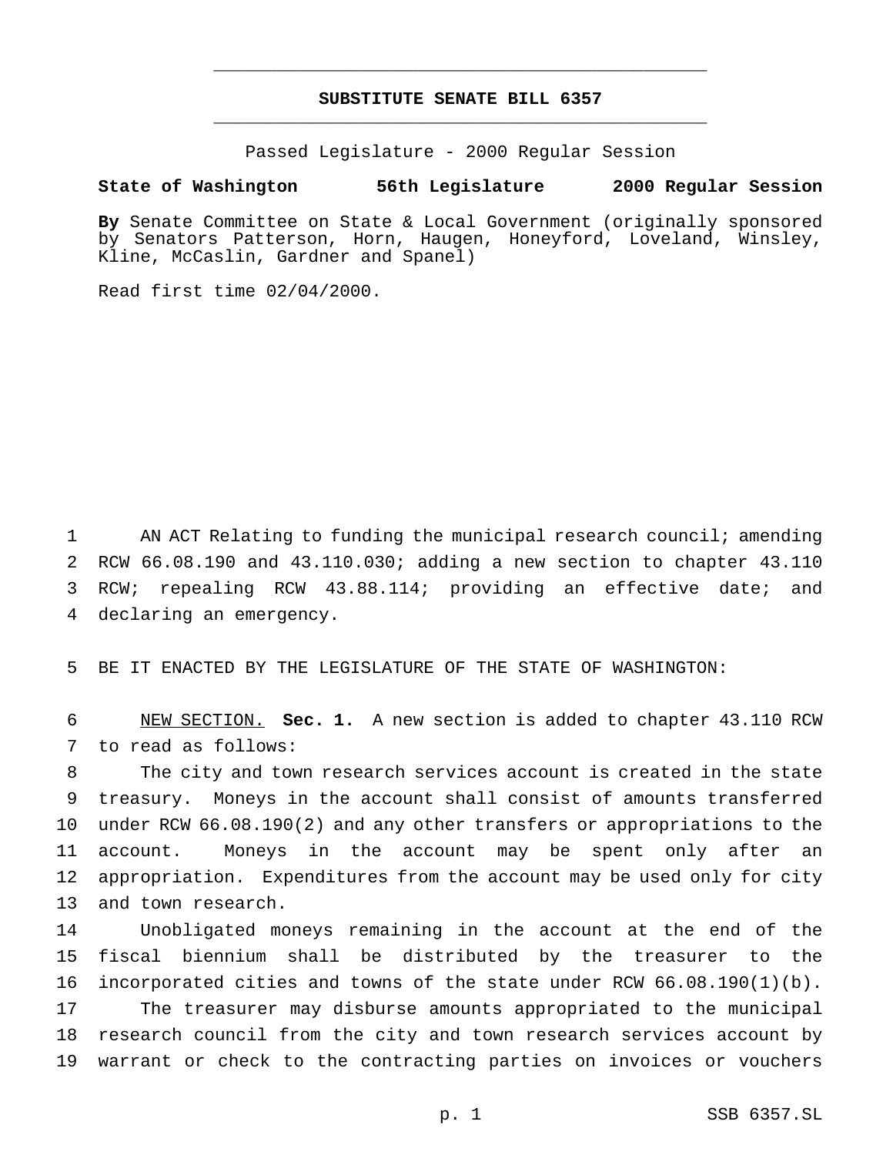## **SUBSTITUTE SENATE BILL 6357** \_\_\_\_\_\_\_\_\_\_\_\_\_\_\_\_\_\_\_\_\_\_\_\_\_\_\_\_\_\_\_\_\_\_\_\_\_\_\_\_\_\_\_\_\_\_\_

\_\_\_\_\_\_\_\_\_\_\_\_\_\_\_\_\_\_\_\_\_\_\_\_\_\_\_\_\_\_\_\_\_\_\_\_\_\_\_\_\_\_\_\_\_\_\_

Passed Legislature - 2000 Regular Session

#### **State of Washington 56th Legislature 2000 Regular Session**

**By** Senate Committee on State & Local Government (originally sponsored by Senators Patterson, Horn, Haugen, Honeyford, Loveland, Winsley, Kline, McCaslin, Gardner and Spanel)

Read first time 02/04/2000.

 AN ACT Relating to funding the municipal research council; amending RCW 66.08.190 and 43.110.030; adding a new section to chapter 43.110 RCW; repealing RCW 43.88.114; providing an effective date; and declaring an emergency.

BE IT ENACTED BY THE LEGISLATURE OF THE STATE OF WASHINGTON:

 NEW SECTION. **Sec. 1.** A new section is added to chapter 43.110 RCW to read as follows:

 The city and town research services account is created in the state treasury. Moneys in the account shall consist of amounts transferred under RCW 66.08.190(2) and any other transfers or appropriations to the account. Moneys in the account may be spent only after an appropriation. Expenditures from the account may be used only for city and town research.

 Unobligated moneys remaining in the account at the end of the fiscal biennium shall be distributed by the treasurer to the incorporated cities and towns of the state under RCW 66.08.190(1)(b). The treasurer may disburse amounts appropriated to the municipal research council from the city and town research services account by warrant or check to the contracting parties on invoices or vouchers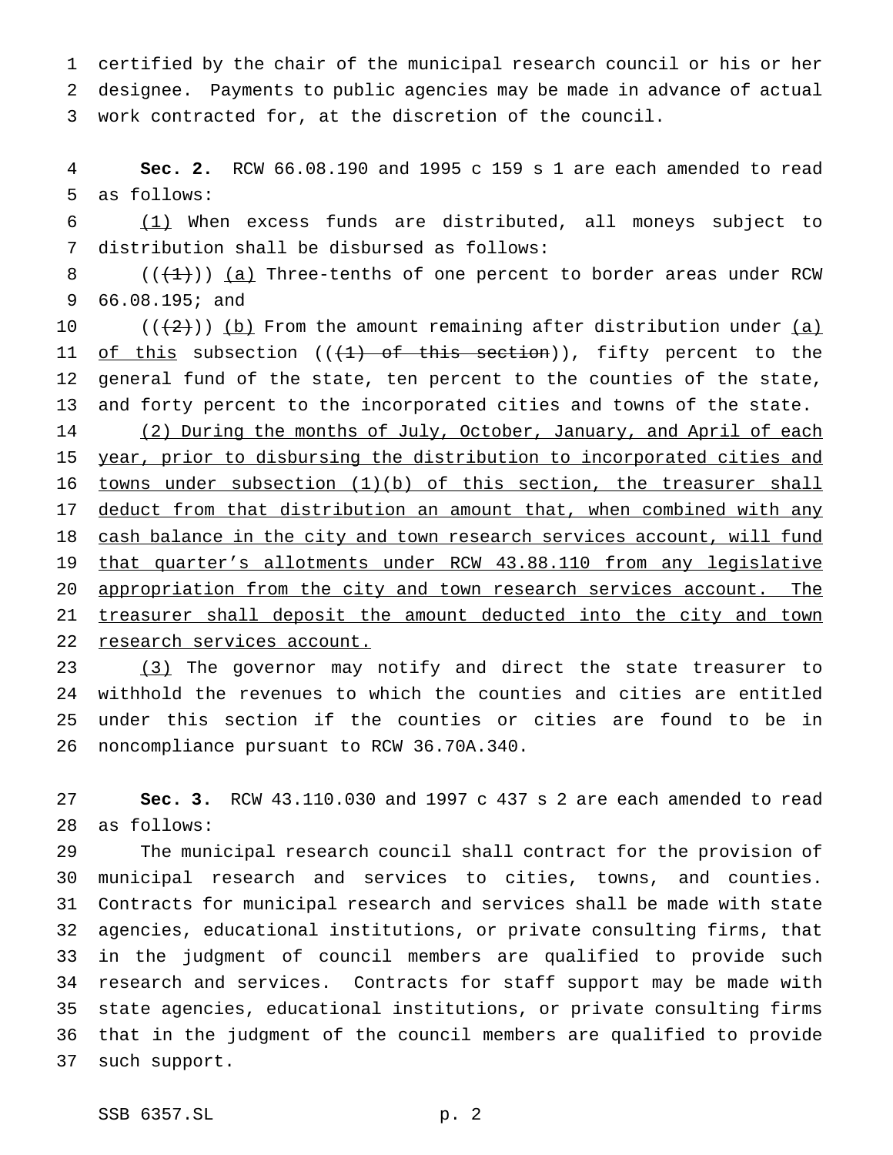certified by the chair of the municipal research council or his or her designee. Payments to public agencies may be made in advance of actual work contracted for, at the discretion of the council.

 **Sec. 2.** RCW 66.08.190 and 1995 c 159 s 1 are each amended to read as follows:

 (1) When excess funds are distributed, all moneys subject to distribution shall be disbursed as follows:

8  $((+1))$  (a) Three-tenths of one percent to border areas under RCW 66.08.195; and

 $((+2)^{n})$  (b) From the amount remaining after distribution under  $(a)$ 11 of this subsection  $((+1)$  of this section)), fifty percent to the general fund of the state, ten percent to the counties of the state, and forty percent to the incorporated cities and towns of the state. 14 (2) During the months of July, October, January, and April of each 15 year, prior to disbursing the distribution to incorporated cities and 16 towns under subsection (1)(b) of this section, the treasurer shall

17 deduct from that distribution an amount that, when combined with any 18 cash balance in the city and town research services account, will fund that quarter's allotments under RCW 43.88.110 from any legislative 20 appropriation from the city and town research services account. The 21 treasurer shall deposit the amount deducted into the city and town research services account.

23 (3) The governor may notify and direct the state treasurer to withhold the revenues to which the counties and cities are entitled under this section if the counties or cities are found to be in noncompliance pursuant to RCW 36.70A.340.

 **Sec. 3.** RCW 43.110.030 and 1997 c 437 s 2 are each amended to read as follows:

 The municipal research council shall contract for the provision of municipal research and services to cities, towns, and counties. Contracts for municipal research and services shall be made with state agencies, educational institutions, or private consulting firms, that in the judgment of council members are qualified to provide such research and services. Contracts for staff support may be made with state agencies, educational institutions, or private consulting firms that in the judgment of the council members are qualified to provide such support.